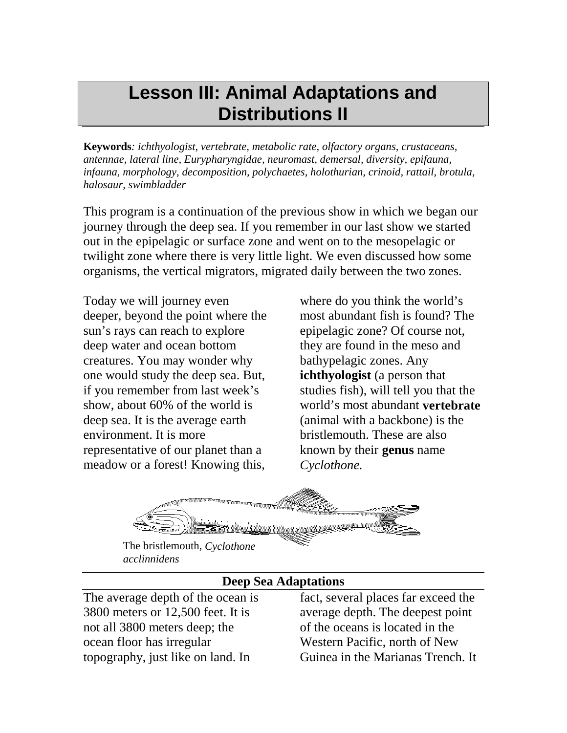# **Lesson III: Animal Adaptations and Distributions II**

**Keywords***: ichthyologist, vertebrate, metabolic rate, olfactory organs, crustaceans, antennae, lateral line, Eurypharyngidae, neuromast, demersal, diversity, epifauna, infauna, morphology, decomposition, polychaetes, holothurian, crinoid, rattail, brotula, halosaur, swimbladder* 

This program is a continuation of the previous show in which we began our journey through the deep sea. If you remember in our last show we started out in the epipelagic or surface zone and went on to the mesopelagic or twilight zone where there is very little light. We even discussed how some organisms, the vertical migrators, migrated daily between the two zones.

Today we will journey even deeper, beyond the point where the sun's rays can reach to explore deep water and ocean bottom creatures. You may wonder why one would study the deep sea. But, if you remember from last week's show, about 60% of the world is deep sea. It is the average earth environment. It is more representative of our planet than a meadow or a forest! Knowing this,

where do you think the world's most abundant fish is found? The epipelagic zone? Of course not, they are found in the meso and bathypelagic zones. Any **ichthyologist** (a person that studies fish), will tell you that the world's most abundant **vertebrate**  (animal with a backbone) is the bristlemouth. These are also known by their **genus** name *Cyclothone.* 



The bristlemouth, *Cyclothone acclinnidens* 

#### **Deep Sea Adaptations**

The average depth of the ocean is 3800 meters or 12,500 feet. It is not all 3800 meters deep; the ocean floor has irregular topography, just like on land. In

fact, several places far exceed the average depth. The deepest point of the oceans is located in the Western Pacific, north of New Guinea in the Marianas Trench. It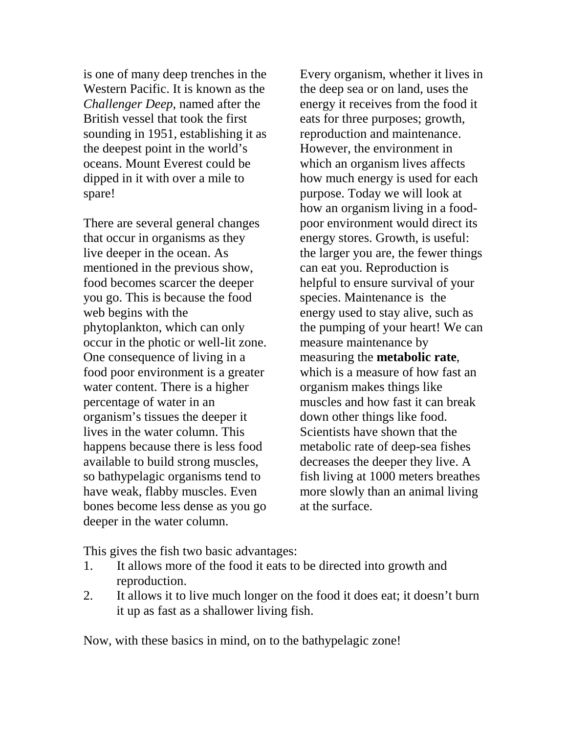is one of many deep trenches in the Western Pacific. It is known as the *Challenger Deep*, named after the British vessel that took the first sounding in 1951, establishing it as the deepest point in the world's oceans. Mount Everest could be dipped in it with over a mile to spare!

There are several general changes that occur in organisms as they live deeper in the ocean. As mentioned in the previous show, food becomes scarcer the deeper you go. This is because the food web begins with the phytoplankton, which can only occur in the photic or well-lit zone. One consequence of living in a food poor environment is a greater water content. There is a higher percentage of water in an organism's tissues the deeper it lives in the water column. This happens because there is less food available to build strong muscles, so bathypelagic organisms tend to have weak, flabby muscles. Even bones become less dense as you go deeper in the water column.

Every organism, whether it lives in the deep sea or on land, uses the energy it receives from the food it eats for three purposes; growth, reproduction and maintenance. However, the environment in which an organism lives affects how much energy is used for each purpose. Today we will look at how an organism living in a foodpoor environment would direct its energy stores. Growth, is useful: the larger you are, the fewer things can eat you. Reproduction is helpful to ensure survival of your species. Maintenance is the energy used to stay alive, such as the pumping of your heart! We can measure maintenance by measuring the **metabolic rate**, which is a measure of how fast an organism makes things like muscles and how fast it can break down other things like food. Scientists have shown that the metabolic rate of deep-sea fishes decreases the deeper they live. A fish living at 1000 meters breathes more slowly than an animal living at the surface.

This gives the fish two basic advantages:

- 1. It allows more of the food it eats to be directed into growth and reproduction.
- 2. It allows it to live much longer on the food it does eat; it doesn't burn it up as fast as a shallower living fish.

Now, with these basics in mind, on to the bathypelagic zone!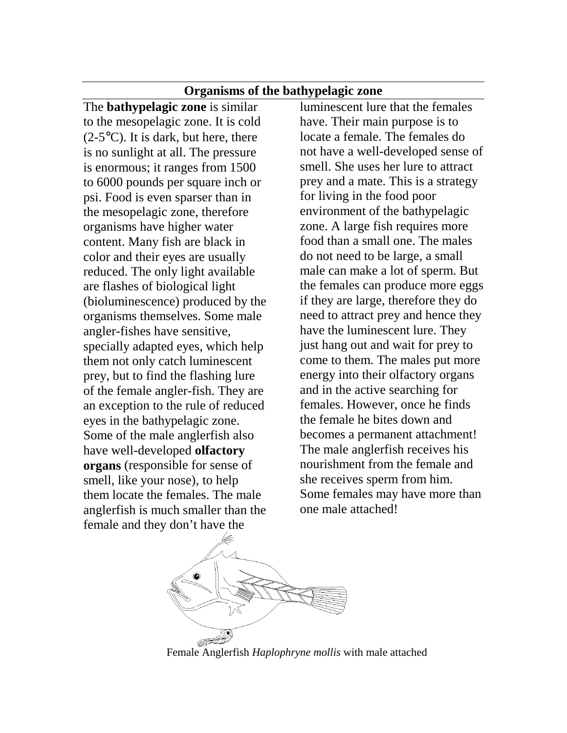#### **Organisms of the bathypelagic zone**

The **bathypelagic zone** is similar to the mesopelagic zone. It is cold  $(2-5\degree C)$ . It is dark, but here, there is no sunlight at all. The pressure is enormous; it ranges from 1500 to 6000 pounds per square inch or psi. Food is even sparser than in the mesopelagic zone, therefore organisms have higher water content. Many fish are black in color and their eyes are usually reduced. The only light available are flashes of biological light (bioluminescence) produced by the organisms themselves. Some male angler-fishes have sensitive, specially adapted eyes, which help them not only catch luminescent prey, but to find the flashing lure of the female angler-fish. They are an exception to the rule of reduced eyes in the bathypelagic zone. Some of the male anglerfish also have well-developed **olfactory organs** (responsible for sense of smell, like your nose), to help them locate the females. The male anglerfish is much smaller than the female and they don't have the

luminescent lure that the females have. Their main purpose is to locate a female. The females do not have a well-developed sense of smell. She uses her lure to attract prey and a mate. This is a strategy for living in the food poor environment of the bathypelagic zone. A large fish requires more food than a small one. The males do not need to be large, a small male can make a lot of sperm. But the females can produce more eggs if they are large, therefore they do need to attract prey and hence they have the luminescent lure. They just hang out and wait for prey to come to them. The males put more energy into their olfactory organs and in the active searching for females. However, once he finds the female he bites down and becomes a permanent attachment! The male anglerfish receives his nourishment from the female and she receives sperm from him. Some females may have more than one male attached!



Female Anglerfish *Haplophryne mollis* with male attached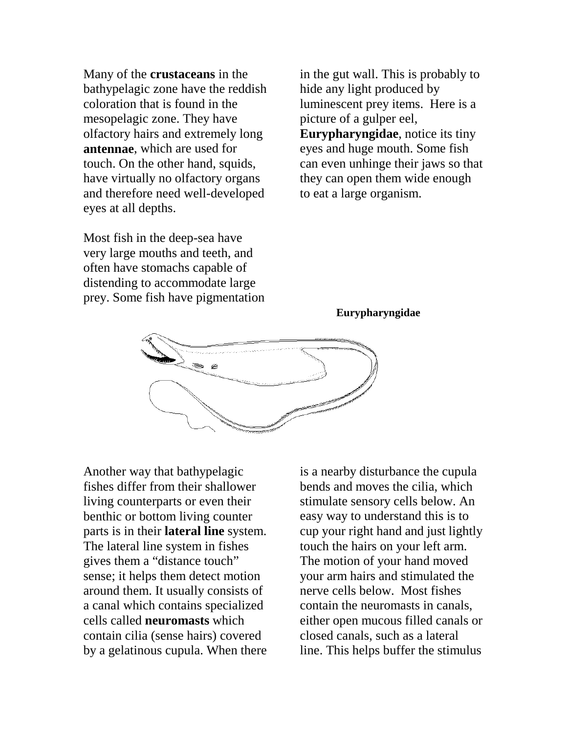Many of the **crustaceans** in the bathypelagic zone have the reddish coloration that is found in the mesopelagic zone. They have olfactory hairs and extremely long **antennae**, which are used for touch. On the other hand, squids, have virtually no olfactory organs and therefore need well-developed eyes at all depths.

Most fish in the deep-sea have very large mouths and teeth, and often have stomachs capable of distending to accommodate large prey. Some fish have pigmentation

in the gut wall. This is probably to hide any light produced by luminescent prey items. Here is a picture of a gulper eel, **Eurypharyngidae**, notice its tiny eyes and huge mouth. Some fish can even unhinge their jaws so that they can open them wide enough to eat a large organism.

#### **Eurypharyngidae**



Another way that bathypelagic fishes differ from their shallower living counterparts or even their benthic or bottom living counter parts is in their **lateral line** system. The lateral line system in fishes gives them a "distance touch" sense; it helps them detect motion around them. It usually consists of a canal which contains specialized cells called **neuromasts** which contain cilia (sense hairs) covered by a gelatinous cupula. When there is a nearby disturbance the cupula bends and moves the cilia, which stimulate sensory cells below. An easy way to understand this is to cup your right hand and just lightly touch the hairs on your left arm. The motion of your hand moved your arm hairs and stimulated the nerve cells below. Most fishes contain the neuromasts in canals, either open mucous filled canals or closed canals, such as a lateral line. This helps buffer the stimulus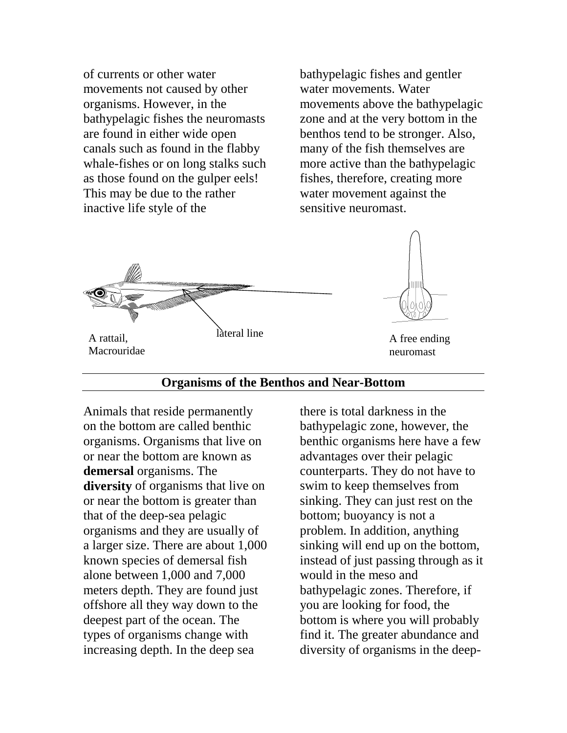of currents or other water movements not caused by other organisms. However, in the bathypelagic fishes the neuromasts are found in either wide open canals such as found in the flabby whale-fishes or on long stalks such as those found on the gulper eels! This may be due to the rather inactive life style of the

bathypelagic fishes and gentler water movements. Water movements above the bathypelagic zone and at the very bottom in the benthos tend to be stronger. Also, many of the fish themselves are more active than the bathypelagic fishes, therefore, creating more water movement against the sensitive neuromast.





neuromast

#### **Organisms of the Benthos and Near-Bottom**

Animals that reside permanently on the bottom are called benthic organisms. Organisms that live on or near the bottom are known as **demersal** organisms. The **diversity** of organisms that live on or near the bottom is greater than that of the deep-sea pelagic organisms and they are usually of a larger size. There are about 1,000 known species of demersal fish alone between 1,000 and 7,000 meters depth. They are found just offshore all they way down to the deepest part of the ocean. The types of organisms change with increasing depth. In the deep sea

there is total darkness in the bathypelagic zone, however, the benthic organisms here have a few advantages over their pelagic counterparts. They do not have to swim to keep themselves from sinking. They can just rest on the bottom; buoyancy is not a problem. In addition, anything sinking will end up on the bottom, instead of just passing through as it would in the meso and bathypelagic zones. Therefore, if you are looking for food, the bottom is where you will probably find it. The greater abundance and diversity of organisms in the deep-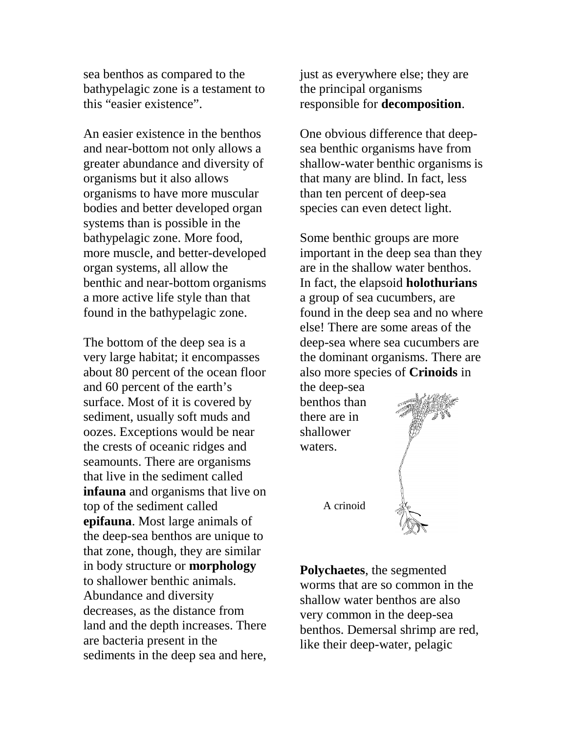sea benthos as compared to the bathypelagic zone is a testament to this "easier existence".

An easier existence in the benthos and near-bottom not only allows a greater abundance and diversity of organisms but it also allows organisms to have more muscular bodies and better developed organ systems than is possible in the bathypelagic zone. More food, more muscle, and better-developed organ systems, all allow the benthic and near-bottom organisms a more active life style than that found in the bathypelagic zone.

The bottom of the deep sea is a very large habitat; it encompasses about 80 percent of the ocean floor and 60 percent of the earth's surface. Most of it is covered by sediment, usually soft muds and oozes. Exceptions would be near the crests of oceanic ridges and seamounts. There are organisms that live in the sediment called **infauna** and organisms that live on top of the sediment called **epifauna**. Most large animals of the deep-sea benthos are unique to that zone, though, they are similar in body structure or **morphology** to shallower benthic animals. Abundance and diversity decreases, as the distance from land and the depth increases. There are bacteria present in the sediments in the deep sea and here,

just as everywhere else; they are the principal organisms responsible for **decomposition**.

One obvious difference that deepsea benthic organisms have from shallow-water benthic organisms is that many are blind. In fact, less than ten percent of deep-sea species can even detect light.

Some benthic groups are more important in the deep sea than they are in the shallow water benthos. In fact, the elapsoid **holothurians**  a group of sea cucumbers, are found in the deep sea and no where else! There are some areas of the deep-sea where sea cucumbers are the dominant organisms. There are also more species of **Crinoids** in

the deep-sea benthos than there are in shallower waters.

A crinoid



**Polychaetes**, the segmented worms that are so common in the shallow water benthos are also very common in the deep-sea benthos. Demersal shrimp are red, like their deep-water, pelagic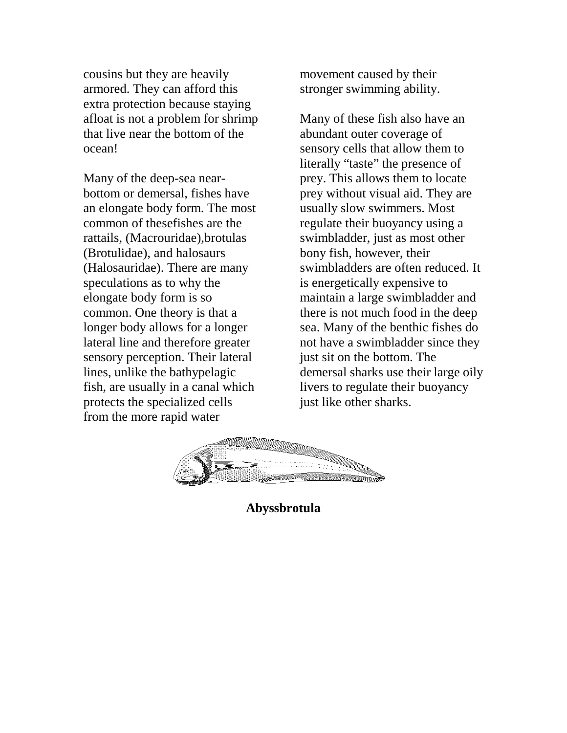cousins but they are heavily armored. They can afford this extra protection because staying afloat is not a problem for shrimp that live near the bottom of the ocean!

Many of the deep-sea nearbottom or demersal, fishes have an elongate body form. The most common of thesefishes are the rattails, (Macrouridae),brotulas (Brotulidae), and halosaurs (Halosauridae). There are many speculations as to why the elongate body form is so common. One theory is that a longer body allows for a longer lateral line and therefore greater sensory perception. Their lateral lines, unlike the bathypelagic fish, are usually in a canal which protects the specialized cells from the more rapid water

movement caused by their stronger swimming ability.

Many of these fish also have an abundant outer coverage of sensory cells that allow them to literally "taste" the presence of prey. This allows them to locate prey without visual aid. They are usually slow swimmers. Most regulate their buoyancy using a swimbladder, just as most other bony fish, however, their swimbladders are often reduced. It is energetically expensive to maintain a large swimbladder and there is not much food in the deep sea. Many of the benthic fishes do not have a swimbladder since they just sit on the bottom. The demersal sharks use their large oily livers to regulate their buoyancy just like other sharks.



**Abyssbrotula**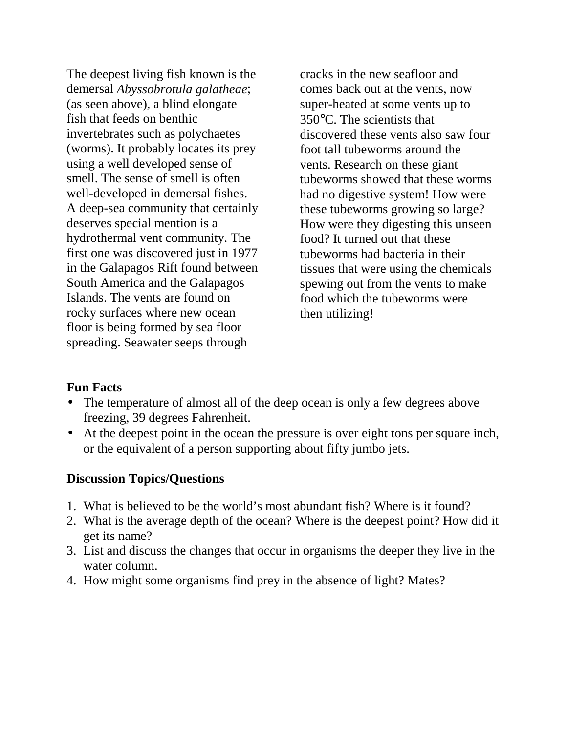The deepest living fish known is the demersal *Abyssobrotula galatheae*; (as seen above), a blind elongate fish that feeds on benthic invertebrates such as polychaetes (worms). It probably locates its prey using a well developed sense of smell. The sense of smell is often well-developed in demersal fishes. A deep-sea community that certainly deserves special mention is a hydrothermal vent community. The first one was discovered just in 1977 in the Galapagos Rift found between South America and the Galapagos Islands. The vents are found on rocky surfaces where new ocean floor is being formed by sea floor spreading. Seawater seeps through

cracks in the new seafloor and comes back out at the vents, now super-heated at some vents up to 350°C. The scientists that discovered these vents also saw four foot tall tubeworms around the vents. Research on these giant tubeworms showed that these worms had no digestive system! How were these tubeworms growing so large? How were they digesting this unseen food? It turned out that these tubeworms had bacteria in their tissues that were using the chemicals spewing out from the vents to make food which the tubeworms were then utilizing!

#### **Fun Facts**

- The temperature of almost all of the deep ocean is only a few degrees above freezing, 39 degrees Fahrenheit.
- At the deepest point in the ocean the pressure is over eight tons per square inch, or the equivalent of a person supporting about fifty jumbo jets.

#### **Discussion Topics/Questions**

- 1. What is believed to be the world's most abundant fish? Where is it found?
- 2. What is the average depth of the ocean? Where is the deepest point? How did it get its name?
- 3. List and discuss the changes that occur in organisms the deeper they live in the water column.
- 4. How might some organisms find prey in the absence of light? Mates?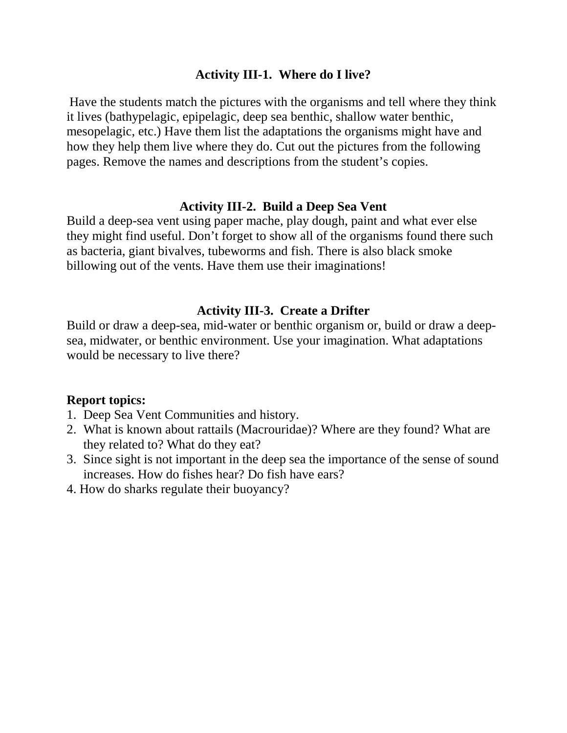#### **Activity III-1. Where do I live?**

Have the students match the pictures with the organisms and tell where they think it lives (bathypelagic, epipelagic, deep sea benthic, shallow water benthic, mesopelagic, etc.) Have them list the adaptations the organisms might have and how they help them live where they do. Cut out the pictures from the following pages. Remove the names and descriptions from the student's copies.

#### **Activity III-2. Build a Deep Sea Vent**

Build a deep-sea vent using paper mache, play dough, paint and what ever else they might find useful. Don't forget to show all of the organisms found there such as bacteria, giant bivalves, tubeworms and fish. There is also black smoke billowing out of the vents. Have them use their imaginations!

#### **Activity III-3. Create a Drifter**

Build or draw a deep-sea, mid-water or benthic organism or, build or draw a deepsea, midwater, or benthic environment. Use your imagination. What adaptations would be necessary to live there?

#### **Report topics:**

- 1. Deep Sea Vent Communities and history.
- 2. What is known about rattails (Macrouridae)? Where are they found? What are they related to? What do they eat?
- 3. Since sight is not important in the deep sea the importance of the sense of sound increases. How do fishes hear? Do fish have ears?
- 4. How do sharks regulate their buoyancy?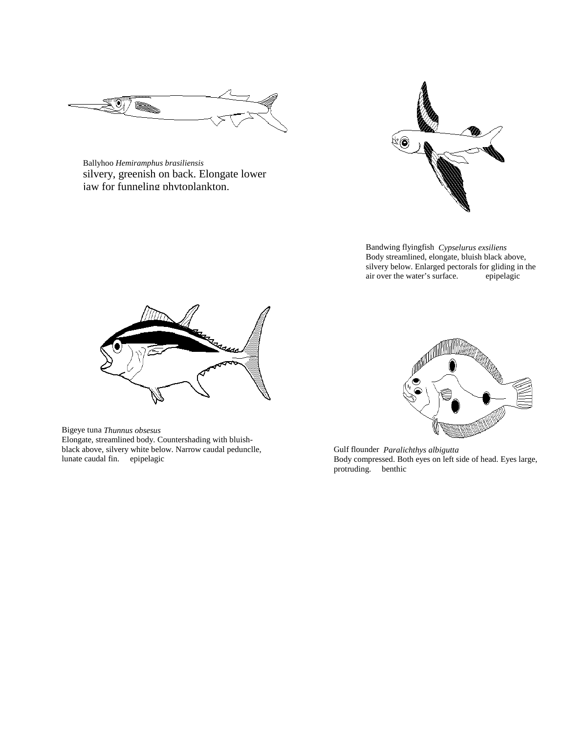

Ballyhoo *Hemiramphus brasiliensis*  silvery, greenish on back. Elongate lower jaw for funneling phytoplankton.



Bandwing flyingfish *Cypselurus exsiliens*  Body streamlined, elongate, bluish black above, silvery below. Enlarged pectorals for gliding in the air over the water's surface. epipelagic



Bigeye tuna *Thunnus obsesus*  Elongate, streamlined body. Countershading with bluishblack above, silvery white below. Narrow caudal pedunclle, lunate caudal fin. epipelagic



Gulf flounder *Paralichthys albigutta*  Body compressed. Both eyes on left side of head. Eyes large, protruding. benthic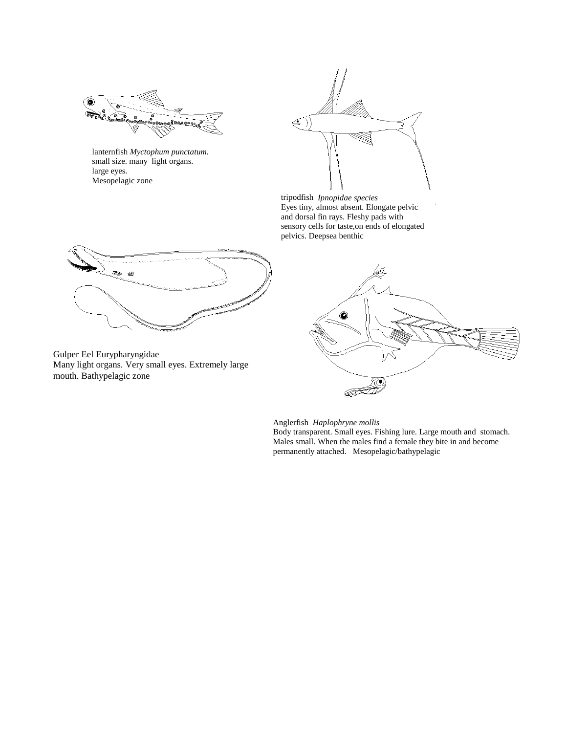

lanternfish *Myctophum punctatum.*  small size. many light organs. large eyes. Mesopelagic zone



tripodfish *Ipnopidae species*  Eyes tiny, almost absent. Elongate pelvic and dorsal fin rays. Fleshy pads with sensory cells for taste,on ends of elongated pelvics. Deepsea benthic



Gulper Eel Eurypharyngidae Many light organs. Very small eyes. Extremely large mouth. Bathypelagic zone



 $\overline{\phantom{a}}$ 

Anglerfish *Haplophryne mollis*  Body transparent. Small eyes. Fishing lure. Large mouth and stomach. Males small. When the males find a female they bite in and become permanently attached. Mesopelagic/bathypelagic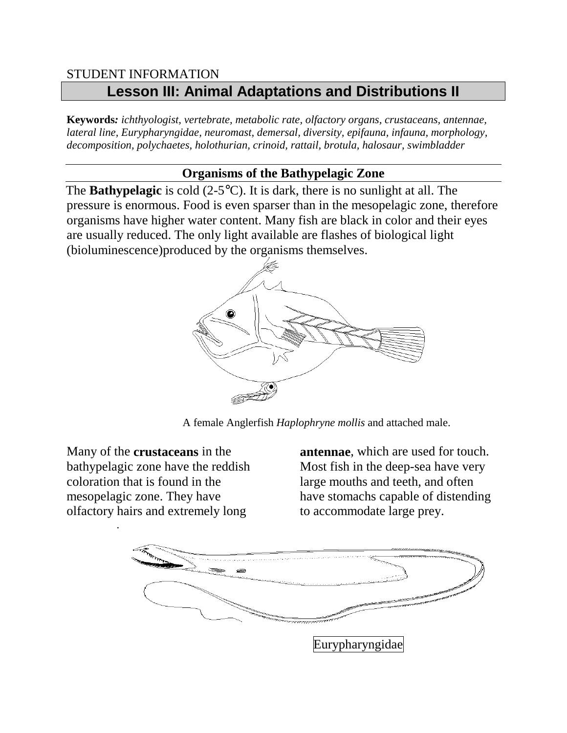### STUDENT INFORMATION **Lesson III: Animal Adaptations and Distributions II**

**Keywords***: ichthyologist, vertebrate, metabolic rate, olfactory organs, crustaceans, antennae, lateral line, Eurypharyngidae, neuromast, demersal, diversity, epifauna, infauna, morphology, decomposition, polychaetes, holothurian, crinoid, rattail, brotula, halosaur, swimbladder*

### **Organisms of the Bathypelagic Zone**

 The **Bathypelagic** is cold (2-5°C). It is dark, there is no sunlight at all. The pressure is enormous. Food is even sparser than in the mesopelagic zone, therefore organisms have higher water content. Many fish are black in color and their eyes are usually reduced. The only light available are flashes of biological light (bioluminescence)produced by the organisms themselves.



A female Anglerfish *Haplophryne mollis* and attached male.

Many of the **crustaceans** in the bathypelagic zone have the reddish coloration that is found in the mesopelagic zone. They have olfactory hairs and extremely long

.

**antennae**, which are used for touch. Most fish in the deep-sea have very large mouths and teeth, and often have stomachs capable of distending to accommodate large prey.

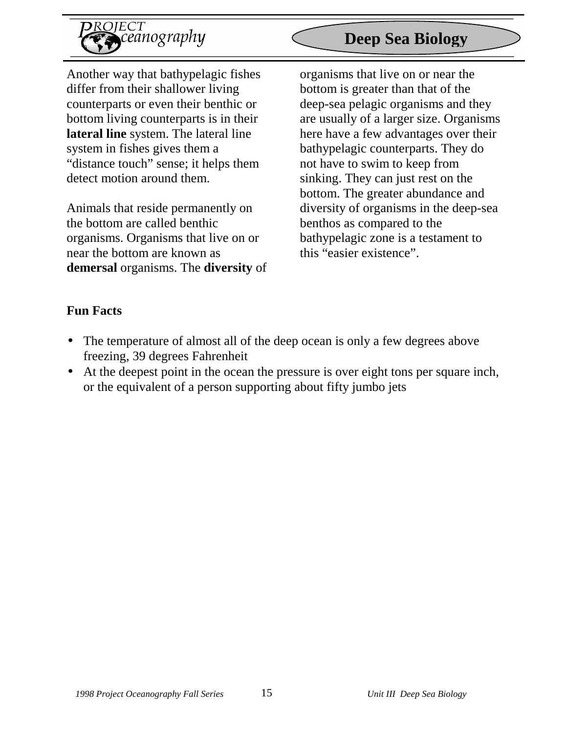

Another way that bathypelagic fishes differ from their shallower living counterparts or even their benthic or bottom living counterparts is in their **lateral line** system. The lateral line system in fishes gives them a "distance touch" sense; it helps them detect motion around them.

Animals that reside permanently on the bottom are called benthic organisms. Organisms that live on or near the bottom are known as **demersal** organisms. The **diversity** of

## **Deep Sea Biology**

organisms that live on or near the bottom is greater than that of the deep-sea pelagic organisms and they are usually of a larger size. Organisms here have a few advantages over their bathypelagic counterparts. They do not have to swim to keep from sinking. They can just rest on the bottom. The greater abundance and diversity of organisms in the deep-sea benthos as compared to the bathypelagic zone is a testament to this "easier existence".

### **Fun Facts**

- The temperature of almost all of the deep ocean is only a few degrees above freezing, 39 degrees Fahrenheit
- At the deepest point in the ocean the pressure is over eight tons per square inch, or the equivalent of a person supporting about fifty jumbo jets